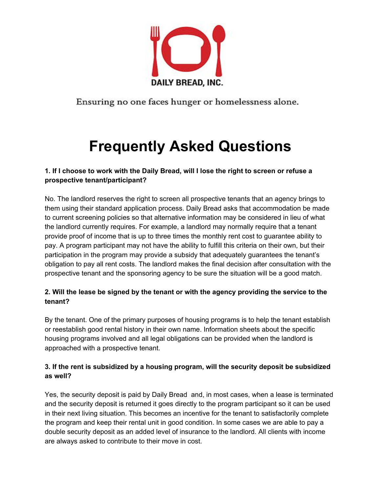

Ensuring no one faces hunger or homelessness alone.

# **Frequently Asked Questions**

## 1. If I choose to work with the Daily Bread, will I lose the right to screen or refuse a **prospective tenant/participant?**

No. The landlord reserves the right to screen all prospective tenants that an agency brings to them using their standard application process. Daily Bread asks that accommodation be made to current screening policies so that alternative information may be considered in lieu of what the landlord currently requires. For example, a landlord may normally require that a tenant provide proof of income that is up to three times the monthly rent cost to guarantee ability to pay. A program participant may not have the ability to fulfill this criteria on their own, but their participation in the program may provide a subsidy that adequately guarantees the tenant's obligation to pay all rent costs. The landlord makes the final decision after consultation with the prospective tenant and the sponsoring agency to be sure the situation will be a good match.

## **2. Will the lease be signed by the tenant or with the agency providing the service to the tenant?**

By the tenant. One of the primary purposes of housing programs is to help the tenant establish or reestablish good rental history in their own name. Information sheets about the specific housing programs involved and all legal obligations can be provided when the landlord is approached with a prospective tenant.

## **3. If the rent is subsidized by a housing program, will the security deposit be subsidized as well?**

Yes, the security deposit is paid by Daily Bread and, in most cases, when a lease is terminated and the security deposit is returned it goes directly to the program participant so it can be used in their next living situation. This becomes an incentive for the tenant to satisfactorily complete the program and keep their rental unit in good condition. In some cases we are able to pay a double security deposit as an added level of insurance to the landlord. All clients with income are always asked to contribute to their move in cost.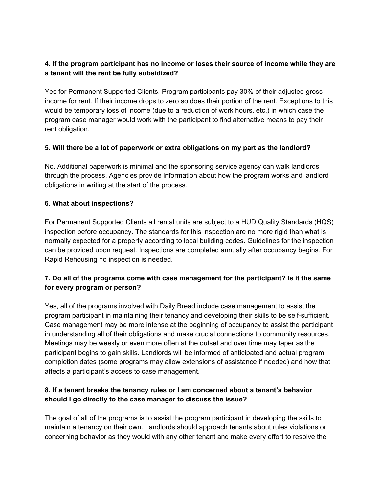#### **4. If the program participant has no income or loses their source of income while they are a tenant will the rent be fully subsidized?**

Yes for Permanent Supported Clients. Program participants pay 30% of their adjusted gross income for rent. If their income drops to zero so does their portion of the rent. Exceptions to this would be temporary loss of income (due to a reduction of work hours, etc.) in which case the program case manager would work with the participant to find alternative means to pay their rent obligation.

#### **5. Will there be a lot of paperwork or extra obligations on my part as the landlord?**

No. Additional paperwork is minimal and the sponsoring service agency can walk landlords through the process. Agencies provide information about how the program works and landlord obligations in writing at the start of the process.

#### **6. What about inspections?**

For Permanent Supported Clients all rental units are subject to a HUD Quality Standards (HQS) inspection before occupancy. The standards for this inspection are no more rigid than what is normally expected for a property according to local building codes. Guidelines for the inspection can be provided upon request. Inspections are completed annually after occupancy begins. For Rapid Rehousing no inspection is needed.

#### **7. Do all of the programs come with case management for the participant? Is it the same for every program or person?**

Yes, all of the programs involved with Daily Bread include case management to assist the program participant in maintaining their tenancy and developing their skills to be self-sufficient. Case management may be more intense at the beginning of occupancy to assist the participant in understanding all of their obligations and make crucial connections to community resources. Meetings may be weekly or even more often at the outset and over time may taper as the participant begins to gain skills. Landlords will be informed of anticipated and actual program completion dates (some programs may allow extensions of assistance if needed) and how that affects a participant's access to case management.

#### **8. If a tenant breaks the tenancy rules or I am concerned about a tenant's behavior should I go directly to the case manager to discuss the issue?**

The goal of all of the programs is to assist the program participant in developing the skills to maintain a tenancy on their own. Landlords should approach tenants about rules violations or concerning behavior as they would with any other tenant and make every effort to resolve the